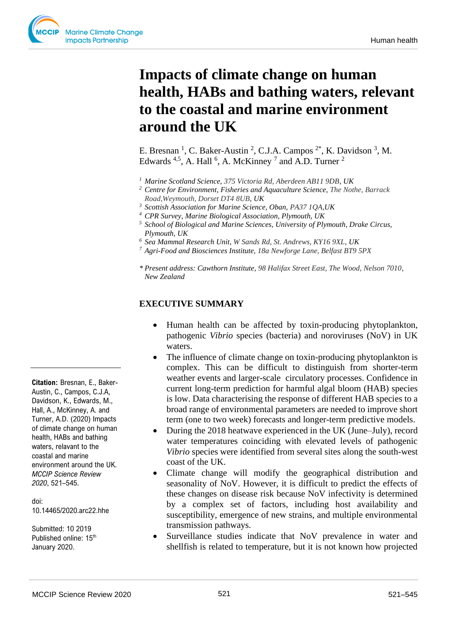# **Impacts of climate change on human health, HABs and bathing waters, relevant to the coastal and marine environment around the UK**

E. Bresnan<sup>1</sup>, C. Baker-Austin<sup>2</sup>, C.J.A. Campos<sup>2\*</sup>, K. Davidson<sup>3</sup>, M. Edwards  $4.5$ , A. Hall  $6$ , A. McKinney  $7$  and A.D. Turner  $2$ 

- *<sup>1</sup>Marine Scotland Science, 375 Victoria Rd, Aberdeen AB11 9DB, UK*
- *<sup>2</sup>Centre for Environment, Fisheries and Aquaculture Science, The Nothe, Barrack Road,Weymouth, Dorset DT4 8UB, UK*
- *<sup>3</sup> Scottish Association for Marine Science, Oban, PA37 1QA,UK*
- *<sup>4</sup> CPR Survey, Marine Biological Association, Plymouth, UK*
- *<sup>5</sup>School of Biological and Marine Sciences, University of Plymouth, Drake Circus, Plymouth, UK*
- *<sup>6</sup> Sea Mammal Research Unit, W Sands Rd, St. Andrews, KY16 9XL, UK*
- *<sup>7</sup> Agri-Food and Biosciences Institute, 18a Newforge Lane, Belfast BT9 5PX*
- *\* Present address: Cawthorn Institute, 98 Halifax Street East, The Wood, Nelson 7010, New Zealand*

## **EXECUTIVE SUMMARY**

- Human health can be affected by toxin-producing phytoplankton, pathogenic *Vibrio* species (bacteria) and noroviruses (NoV) in UK waters.
- The influence of climate change on toxin-producing phytoplankton is complex. This can be difficult to distinguish from shorter-term weather events and larger-scale circulatory processes. Confidence in current long-term prediction for harmful algal bloom (HAB) species is low. Data characterising the response of different HAB species to a broad range of environmental parameters are needed to improve short term (one to two week) forecasts and longer-term predictive models.
- During the 2018 heatwave experienced in the UK (June–July), record water temperatures coinciding with elevated levels of pathogenic *Vibrio* species were identified from several sites along the south-west coast of the UK.
- Climate change will modify the geographical distribution and seasonality of NoV. However, it is difficult to predict the effects of these changes on disease risk because NoV infectivity is determined by a complex set of factors, including host availability and susceptibility, emergence of new strains, and multiple environmental transmission pathways.
- Surveillance studies indicate that NoV prevalence in water and shellfish is related to temperature, but it is not known how projected

**Citation:** Bresnan, E., Baker-Austin, C., Campos, C.J.A, Davidson, K., Edwards, M., Hall, A., McKinney, A. and Turner, A.D. (2020) Impacts of climate change on human health, HABs and bathing waters, relavant to the coastal and marine environment around the UK. *MCCIP Science Review 2020*, 521–545.

doi: 10.14465/2020.arc22.hhe

Submitted: 10 2019 Published online: 15<sup>th</sup> January 2020.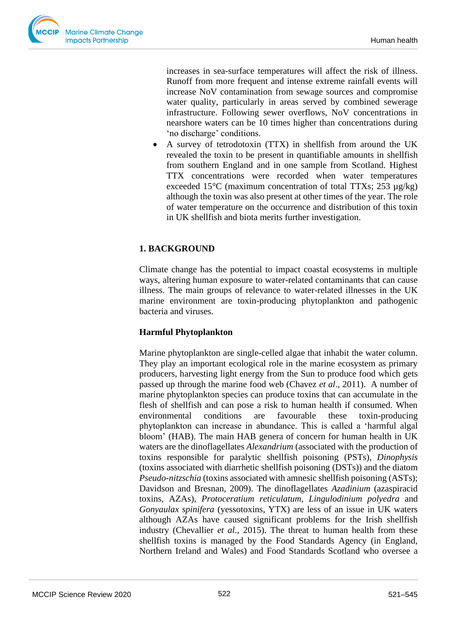

increases in sea-surface temperatures will affect the risk of illness. Runoff from more frequent and intense extreme rainfall events will increase NoV contamination from sewage sources and compromise water quality, particularly in areas served by combined sewerage infrastructure. Following sewer overflows, NoV concentrations in nearshore waters can be 10 times higher than concentrations during 'no discharge' conditions.

• A survey of tetrodotoxin (TTX) in shellfish from around the UK revealed the toxin to be present in quantifiable amounts in shellfish from southern England and in one sample from Scotland. Highest TTX concentrations were recorded when water temperatures exceeded 15 $\degree$ C (maximum concentration of total TTXs; 253  $\mu$ g/kg) although the toxin was also present at other times of the year. The role of water temperature on the occurrence and distribution of this toxin in UK shellfish and biota merits further investigation.

# **1. BACKGROUND**

Climate change has the potential to impact coastal ecosystems in multiple ways, altering human exposure to water-related contaminants that can cause illness. The main groups of relevance to water-related illnesses in the UK marine environment are toxin-producing phytoplankton and pathogenic bacteria and viruses.

# **Harmful Phytoplankton**

Marine phytoplankton are single-celled algae that inhabit the water column. They play an important ecological role in the marine ecosystem as primary producers, harvesting light energy from the Sun to produce food which gets passed up through the marine food web (Chavez *et al*., 2011). A number of marine phytoplankton species can produce toxins that can accumulate in the flesh of shellfish and can pose a risk to human health if consumed. When environmental conditions are favourable these toxin-producing phytoplankton can increase in abundance. This is called a 'harmful algal bloom' (HAB). The main HAB genera of concern for human health in UK waters are the dinoflagellates *Alexandrium* (associated with the production of toxins responsible for paralytic shellfish poisoning (PSTs), *Dinophysis* (toxins associated with diarrhetic shellfish poisoning (DSTs)) and the diatom *Pseudo-nitzschia* (toxins associated with amnesic shellfish poisoning (ASTs); Davidson and Bresnan, 2009). The dinoflagellates *Azadinium* (azaspiracid toxins, AZAs), *Protoceratium reticulatum, Lingulodinium polyedra* and *Gonyaulax spinifera* (yessotoxins, YTX) are less of an issue in UK waters although AZAs have caused significant problems for the Irish shellfish industry (Chevallier *et al*., 2015). The threat to human health from these shellfish toxins is managed by the Food Standards Agency (in England, Northern Ireland and Wales) and Food Standards Scotland who oversee a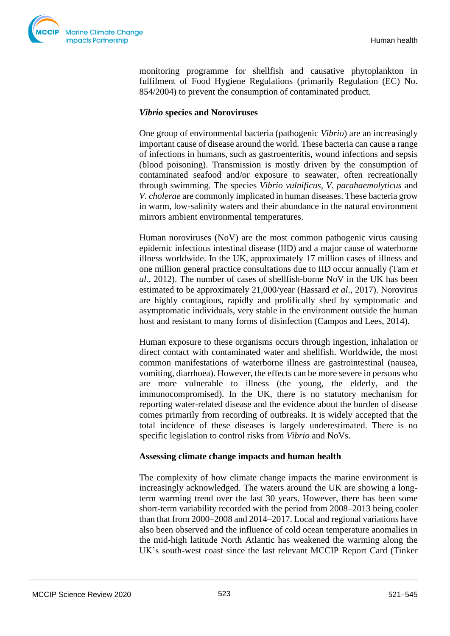

monitoring programme for shellfish and causative phytoplankton in fulfilment of Food Hygiene Regulations (primarily Regulation (EC) No. 854/2004) to prevent the consumption of contaminated product.

#### *Vibrio* **species and Noroviruses**

One group of environmental bacteria (pathogenic *Vibrio*) are an increasingly important cause of disease around the world. These bacteria can cause a range of infections in humans, such as gastroenteritis, wound infections and sepsis (blood poisoning). Transmission is mostly driven by the consumption of contaminated seafood and/or exposure to seawater, often recreationally through swimming. The species *Vibrio vulnificus, V. parahaemolyticus* and *V. cholerae* are commonly implicated in human diseases. These bacteria grow in warm, low-salinity waters and their abundance in the natural environment mirrors ambient environmental temperatures.

Human noroviruses (NoV) are the most common pathogenic virus causing epidemic infectious intestinal disease (IID) and a major cause of waterborne illness worldwide. In the UK, approximately 17 million cases of illness and one million general practice consultations due to IID occur annually (Tam *et al*., 2012). The number of cases of shellfish-borne NoV in the UK has been estimated to be approximately 21,000/year (Hassard *et al*., 2017). Norovirus are highly contagious, rapidly and prolifically shed by symptomatic and asymptomatic individuals, very stable in the environment outside the human host and resistant to many forms of disinfection (Campos and Lees, 2014).

Human exposure to these organisms occurs through ingestion, inhalation or direct contact with contaminated water and shellfish. Worldwide, the most common manifestations of waterborne illness are gastrointestinal (nausea, vomiting, diarrhoea). However, the effects can be more severe in persons who are more vulnerable to illness (the young, the elderly, and the immunocompromised). In the UK, there is no statutory mechanism for reporting water-related disease and the evidence about the burden of disease comes primarily from recording of outbreaks. It is widely accepted that the total incidence of these diseases is largely underestimated. There is no specific legislation to control risks from *Vibrio* and NoVs.

#### **Assessing climate change impacts and human health**

The complexity of how climate change impacts the marine environment is increasingly acknowledged. The waters around the UK are showing a longterm warming trend over the last 30 years. However, there has been some short-term variability recorded with the period from 2008–2013 being cooler than that from 2000–2008 and 2014–2017. Local and regional variations have also been observed and the influence of cold ocean temperature anomalies in the mid-high latitude North Atlantic has weakened the warming along the UK's south-west coast since the last relevant MCCIP Report Card (Tinker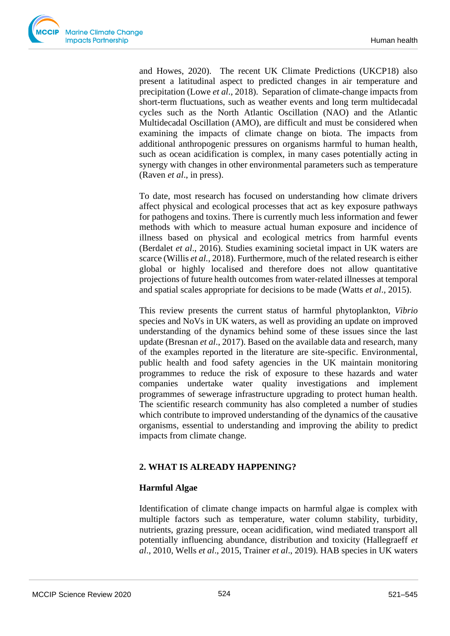

and Howes, 2020). The recent UK Climate Predictions (UKCP18) also present a latitudinal aspect to predicted changes in air temperature and precipitation (Lowe *et al*., 2018). Separation of climate-change impacts from short-term fluctuations, such as weather events and long term multidecadal cycles such as the North Atlantic Oscillation (NAO) and the Atlantic Multidecadal Oscillation (AMO), are difficult and must be considered when examining the impacts of climate change on biota. The impacts from additional anthropogenic pressures on organisms harmful to human health, such as ocean acidification is complex, in many cases potentially acting in synergy with changes in other environmental parameters such as temperature (Raven *et al*., in press).

To date, most research has focused on understanding how climate drivers affect physical and ecological processes that act as key exposure pathways for pathogens and toxins. There is currently much less information and fewer methods with which to measure actual human exposure and incidence of illness based on physical and ecological metrics from harmful events (Berdalet *et al*., 2016). Studies examining societal impact in UK waters are scarce (Willis *et al.*, 2018). Furthermore, much of the related research is either global or highly localised and therefore does not allow quantitative projections of future health outcomes from water-related illnesses at temporal and spatial scales appropriate for decisions to be made (Watts *et al*., 2015).

This review presents the current status of harmful phytoplankton, *Vibrio* species and NoVs in UK waters, as well as providing an update on improved understanding of the dynamics behind some of these issues since the last update (Bresnan *et al*., 2017). Based on the available data and research, many of the examples reported in the literature are site-specific. Environmental, public health and food safety agencies in the UK maintain monitoring programmes to reduce the risk of exposure to these hazards and water companies undertake water quality investigations and implement programmes of sewerage infrastructure upgrading to protect human health. The scientific research community has also completed a number of studies which contribute to improved understanding of the dynamics of the causative organisms, essential to understanding and improving the ability to predict impacts from climate change.

# **2. WHAT IS ALREADY HAPPENING?**

# **Harmful Algae**

Identification of climate change impacts on harmful algae is complex with multiple factors such as temperature, water column stability, turbidity, nutrients, grazing pressure, ocean acidification, wind mediated transport all potentially influencing abundance, distribution and toxicity (Hallegraeff *et al*., 2010, Wells *et al*., 2015, Trainer *et al*., 2019). HAB species in UK waters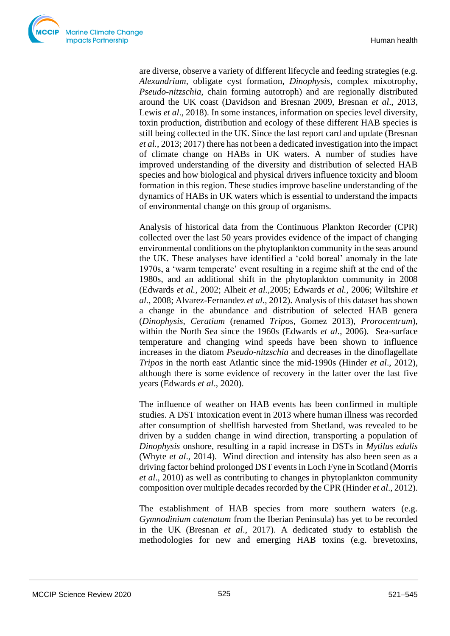are diverse, observe a variety of different lifecycle and feeding strategies (e.g. *Alexandrium,* obligate cyst formation, *Dinophysis*, complex mixotrophy, *Pseudo-nitzschia*, chain forming autotroph) and are regionally distributed around the UK coast (Davidson and Bresnan 2009, Bresnan *et al*., 2013, Lewis *et al.*, 2018). In some instances, information on species level diversity, toxin production, distribution and ecology of these different HAB species is still being collected in the UK. Since the last report card and update (Bresnan *et al.*, 2013; 2017) there has not been a dedicated investigation into the impact of climate change on HABs in UK waters. A number of studies have improved understanding of the diversity and distribution of selected HAB species and how biological and physical drivers influence toxicity and bloom formation in this region. These studies improve baseline understanding of the dynamics of HABs in UK waters which is essential to understand the impacts of environmental change on this group of organisms.

Analysis of historical data from the Continuous Plankton Recorder (CPR) collected over the last 50 years provides evidence of the impact of changing environmental conditions on the phytoplankton community in the seas around the UK. These analyses have identified a 'cold boreal' anomaly in the late 1970s, a 'warm temperate' event resulting in a regime shift at the end of the 1980s, and an additional shift in the phytoplankton community in 2008 (Edwards *et al.,* 2002; Alheit *et al.,*2005; Edwards *et al.,* 2006; Wiltshire *et al.,* 2008; Alvarez-Fernandez *et al.,* 2012). Analysis of this dataset has shown a change in the abundance and distribution of selected HAB genera (*Dinophysis*, *Ceratium* (renamed *Tripos*, Gomez 2013), *Prorocentrum*), within the North Sea since the 1960s (Edwards *et al*., 2006). Sea-surface temperature and changing wind speeds have been shown to influence increases in the diatom *Pseudo-nitzschia* and decreases in the dinoflagellate *Tripos* in the north east Atlantic since the mid-1990s (Hinder *et al*., 2012), although there is some evidence of recovery in the latter over the last five years (Edwards *et al*., 2020).

The influence of weather on HAB events has been confirmed in multiple studies. A DST intoxication event in 2013 where human illness was recorded after consumption of shellfish harvested from Shetland, was revealed to be driven by a sudden change in wind direction, transporting a population of *Dinophysis* onshore, resulting in a rapid increase in DSTs in *Mytilus edulis*  (Whyte *et al*., 2014). Wind direction and intensity has also been seen as a driving factor behind prolonged DST events in Loch Fyne in Scotland (Morris *et al*., 2010) as well as contributing to changes in phytoplankton community composition over multiple decades recorded by the CPR (Hinder *et al*., 2012).

The establishment of HAB species from more southern waters (e.g. *Gymnodinium catenatum* from the Iberian Peninsula) has yet to be recorded in the UK (Bresnan *et al*., 2017). A dedicated study to establish the methodologies for new and emerging HAB toxins (e.g. brevetoxins,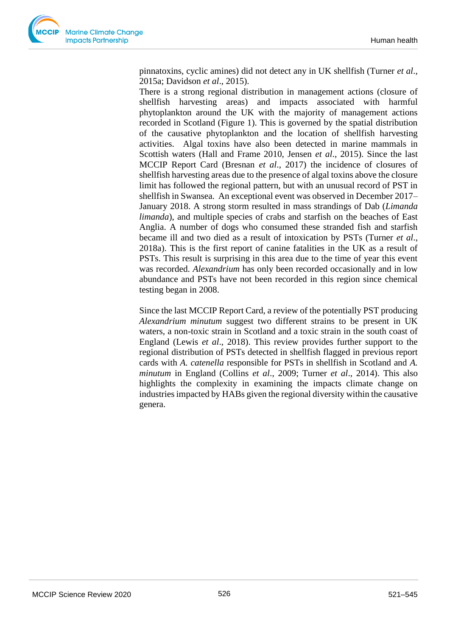pinnatoxins, cyclic amines) did not detect any in UK shellfish (Turner *et al*., 2015a; Davidson *et al*., 2015).

There is a strong regional distribution in management actions (closure of shellfish harvesting areas) and impacts associated with harmful phytoplankton around the UK with the majority of management actions recorded in Scotland (Figure 1). This is governed by the spatial distribution of the causative phytoplankton and the location of shellfish harvesting activities.Algal toxins have also been detected in marine mammals in Scottish waters (Hall and Frame 2010, Jensen *et al*., 2015). Since the last MCCIP Report Card (Bresnan *et al*., 2017) the incidence of closures of shellfish harvesting areas due to the presence of algal toxins above the closure limit has followed the regional pattern, but with an unusual record of PST in shellfish in Swansea. An exceptional event was observed in December 2017– January 2018. A strong storm resulted in mass strandings of Dab (*Limanda limanda*), and multiple species of crabs and starfish on the beaches of East Anglia. A number of dogs who consumed these stranded fish and starfish became ill and two died as a result of intoxication by PSTs (Turner *et al*., 2018a). This is the first report of canine fatalities in the UK as a result of PSTs. This result is surprising in this area due to the time of year this event was recorded. *Alexandrium* has only been recorded occasionally and in low abundance and PSTs have not been recorded in this region since chemical testing began in 2008.

Since the last MCCIP Report Card, a review of the potentially PST producing *Alexandrium minutum* suggest two different strains to be present in UK waters, a non-toxic strain in Scotland and a toxic strain in the south coast of England (Lewis *et al*., 2018). This review provides further support to the regional distribution of PSTs detected in shellfish flagged in previous report cards with *A. catenella* responsible for PSTs in shellfish in Scotland and *A. minutum* in England (Collins *et al*., 2009; Turner *et al*., 2014). This also highlights the complexity in examining the impacts climate change on industries impacted by HABs given the regional diversity within the causative genera.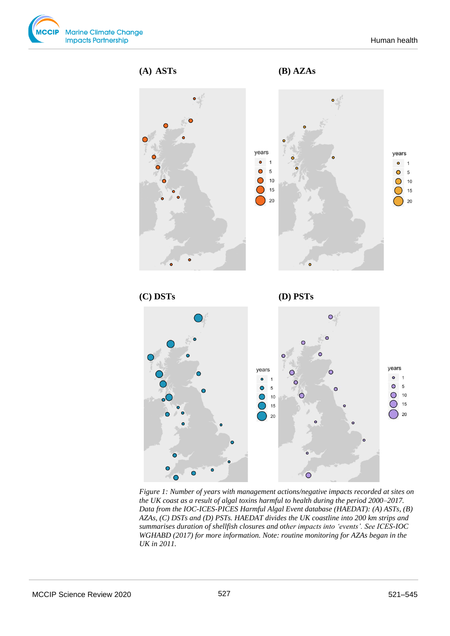



*Figure 1: Number of years with management actions/negative impacts recorded at sites on the UK coast as a result of algal toxins harmful to health during the period 2000–2017. Data from the IOC-ICES-PICES Harmful Algal Event database (HAEDAT): (A) ASTs, (B) AZAs, (C) DSTs and (D) PSTs. HAEDAT divides the UK coastline into 200 km strips and summarises duration of shellfish closures and other impacts into 'events'. See ICES-IOC WGHABD (2017) for more information. Note: routine monitoring for AZAs began in the UK in 2011.*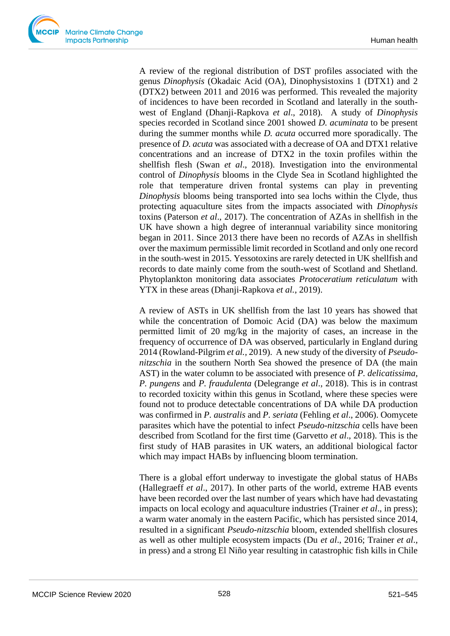A review of the regional distribution of DST profiles associated with the genus *Dinophysis* (Okadaic Acid (OA), Dinophysistoxins 1 (DTX1) and 2 (DTX2) between 2011 and 2016 was performed. This revealed the majority of incidences to have been recorded in Scotland and laterally in the southwest of England (Dhanji-Rapkova *et al*., 2018). A study of *Dinophysis* species recorded in Scotland since 2001 showed *D. acuminata* to be present during the summer months while *D. acuta* occurred more sporadically. The presence of *D. acuta* was associated with a decrease of OA and DTX1 relative concentrations and an increase of DTX2 in the toxin profiles within the shellfish flesh (Swan *et al*., 2018). Investigation into the environmental control of *Dinophysis* blooms in the Clyde Sea in Scotland highlighted the role that temperature driven frontal systems can play in preventing *Dinophysis* blooms being transported into sea lochs within the Clyde, thus protecting aquaculture sites from the impacts associated with *Dinophysis*  toxins (Paterson *et al*., 2017). The concentration of AZAs in shellfish in the UK have shown a high degree of interannual variability since monitoring began in 2011. Since 2013 there have been no records of AZAs in shellfish over the maximum permissible limit recorded in Scotland and only one record in the south-west in 2015. Yessotoxins are rarely detected in UK shellfish and records to date mainly come from the south-west of Scotland and Shetland. Phytoplankton monitoring data associates *Protoceratium reticulatum* with YTX in these areas (Dhanji-Rapkova *et al.*, 2019).

A review of ASTs in UK shellfish from the last 10 years has showed that while the concentration of Domoic Acid (DA) was below the maximum permitted limit of 20 mg/kg in the majority of cases, an increase in the frequency of occurrence of DA was observed, particularly in England during 2014 (Rowland-Pilgrim *et al.,* 2019). A new study of the diversity of *Pseudonitzschia* in the southern North Sea showed the presence of DA (the main AST) in the water column to be associated with presence of *P. delicatissima*, *P. pungens* and *P. fraudulenta* (Delegrange *et al*., 2018). This is in contrast to recorded toxicity within this genus in Scotland, where these species were found not to produce detectable concentrations of DA while DA production was confirmed in *P. australis* and *P. seriata* (Fehling *et al*., 2006). Oomycete parasites which have the potential to infect *Pseudo-nitzschia* cells have been described from Scotland for the first time (Garvetto *et al*., 2018). This is the first study of HAB parasites in UK waters, an additional biological factor which may impact HABs by influencing bloom termination.

There is a global effort underway to investigate the global status of HABs (Hallegraeff *et al*., 2017). In other parts of the world, extreme HAB events have been recorded over the last number of years which have had devastating impacts on local ecology and aquaculture industries (Trainer *et al*., in press); a warm water anomaly in the eastern Pacific, which has persisted since 2014, resulted in a significant *Pseudo-nitzschia* bloom, extended shellfish closures as well as other multiple ecosystem impacts (Du *et al*., 2016; Trainer *et al*., in press) and a strong El Niño year resulting in catastrophic fish kills in Chile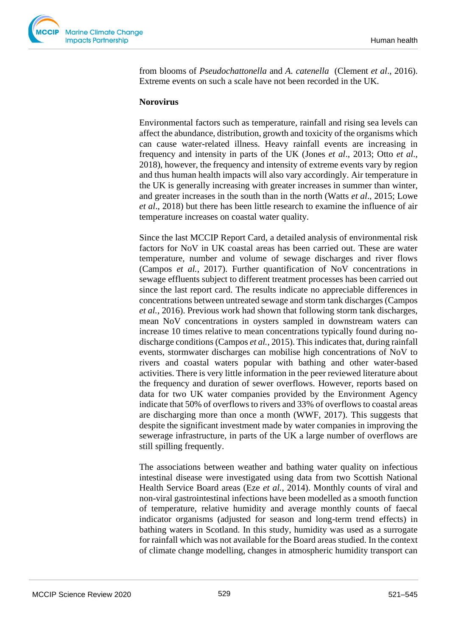from blooms of *Pseudochattonella* and *A. catenella* (Clement *et al*., 2016). Extreme events on such a scale have not been recorded in the UK.

#### **Norovirus**

Environmental factors such as temperature, rainfall and rising sea levels can affect the abundance, distribution, growth and toxicity of the organisms which can cause water-related illness. Heavy rainfall events are increasing in frequency and intensity in parts of the UK (Jones *et al*., 2013; Otto *et al*., 2018), however, the frequency and intensity of extreme events vary by region and thus human health impacts will also vary accordingly. Air temperature in the UK is generally increasing with greater increases in summer than winter, and greater increases in the south than in the north (Watts *et al*., 2015; Lowe *et al*., 2018) but there has been little research to examine the influence of air temperature increases on coastal water quality.

Since the last MCCIP Report Card, a detailed analysis of environmental risk factors for NoV in UK coastal areas has been carried out. These are water temperature, number and volume of sewage discharges and river flows (Campos *et al.*, 2017). Further quantification of NoV concentrations in sewage effluents subject to different treatment processes has been carried out since the last report card. The results indicate no appreciable differences in concentrations between untreated sewage and storm tank discharges (Campos *et al.*, 2016). Previous work had shown that following storm tank discharges, mean NoV concentrations in oysters sampled in downstream waters can increase 10 times relative to mean concentrations typically found during nodischarge conditions (Campos *et al.*, 2015). This indicates that, during rainfall events, stormwater discharges can mobilise high concentrations of NoV to rivers and coastal waters popular with bathing and other water-based activities. There is very little information in the peer reviewed literature about the frequency and duration of sewer overflows. However, reports based on data for two UK water companies provided by the Environment Agency indicate that 50% of overflows to rivers and 33% of overflows to coastal areas are discharging more than once a month (WWF, 2017). This suggests that despite the significant investment made by water companies in improving the sewerage infrastructure, in parts of the UK a large number of overflows are still spilling frequently.

The associations between weather and bathing water quality on infectious intestinal disease were investigated using data from two Scottish National Health Service Board areas (Eze *et al.*, 2014). Monthly counts of viral and non-viral gastrointestinal infections have been modelled as a smooth function of temperature, relative humidity and average monthly counts of faecal indicator organisms (adjusted for season and long-term trend effects) in bathing waters in Scotland. In this study, humidity was used as a surrogate for rainfall which was not available for the Board areas studied. In the context of climate change modelling, changes in atmospheric humidity transport can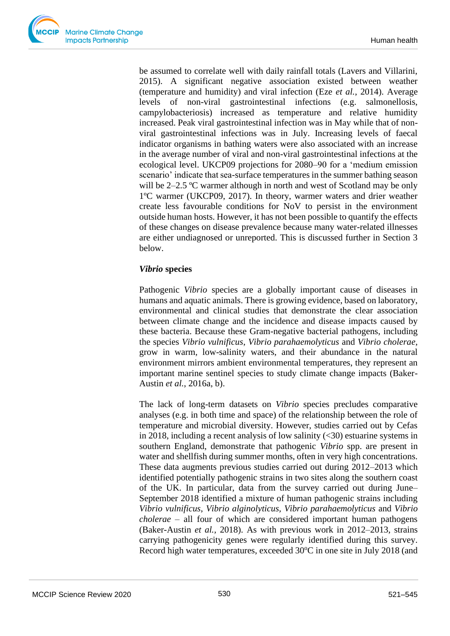be assumed to correlate well with daily rainfall totals (Lavers and Villarini, 2015). A significant negative association existed between weather (temperature and humidity) and viral infection (Eze *et al.*, 2014). Average levels of non-viral gastrointestinal infections (e.g. salmonellosis, campylobacteriosis) increased as temperature and relative humidity increased. Peak viral gastrointestinal infection was in May while that of nonviral gastrointestinal infections was in July. Increasing levels of faecal indicator organisms in bathing waters were also associated with an increase in the average number of viral and non-viral gastrointestinal infections at the ecological level. UKCP09 projections for 2080–90 for a 'medium emission scenario' indicate that sea-surface temperatures in the summer bathing season will be 2–2.5 °C warmer although in north and west of Scotland may be only 1ºC warmer (UKCP09, 2017). In theory, warmer waters and drier weather create less favourable conditions for NoV to persist in the environment outside human hosts. However, it has not been possible to quantify the effects of these changes on disease prevalence because many water-related illnesses are either undiagnosed or unreported. This is discussed further in Section 3 below.

## *Vibrio* **species**

Pathogenic *Vibrio* species are a globally important cause of diseases in humans and aquatic animals. There is growing evidence, based on laboratory, environmental and clinical studies that demonstrate the clear association between climate change and the incidence and disease impacts caused by these bacteria. Because these Gram-negative bacterial pathogens, including the species *Vibrio vulnificus*, *Vibrio parahaemolyticus* and *Vibrio cholerae*, grow in warm, low-salinity waters, and their abundance in the natural environment mirrors ambient environmental temperatures, they represent an important marine sentinel species to study climate change impacts (Baker-Austin *et al.*, 2016a, b).

The lack of long-term datasets on *Vibrio* species precludes comparative analyses (e.g. in both time and space) of the relationship between the role of temperature and microbial diversity. However, studies carried out by Cefas in 2018, including a recent analysis of low salinity  $(\leq 30)$  estuarine systems in southern England, demonstrate that pathogenic *Vibrio* spp. are present in water and shellfish during summer months, often in very high concentrations. These data augments previous studies carried out during 2012–2013 which identified potentially pathogenic strains in two sites along the southern coast of the UK. In particular, data from the survey carried out during June– September 2018 identified a mixture of human pathogenic strains including *Vibrio vulnificus*, *Vibrio alginolyticus, Vibrio parahaemolyticus* and *Vibrio cholerae* – all four of which are considered important human pathogens (Baker-Austin *et al.,* 2018). As with previous work in 2012–2013, strains carrying pathogenicity genes were regularly identified during this survey. Record high water temperatures, exceeded  $30^{\circ}$ C in one site in July 2018 (and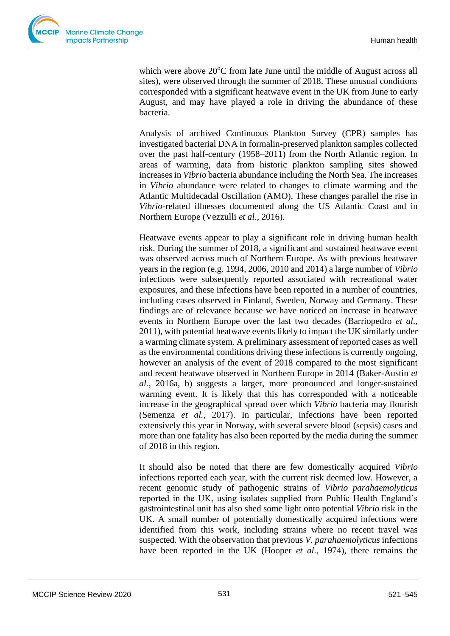

which were above  $20^{\circ}$ C from late June until the middle of August across all sites), were observed through the summer of 2018. These unusual conditions corresponded with a significant heatwave event in the UK from June to early August, and may have played a role in driving the abundance of these bacteria.

Analysis of archived Continuous Plankton Survey (CPR) samples has investigated bacterial DNA in formalin-preserved plankton samples collected over the past half-century (1958–2011) from the North Atlantic region. In areas of warming, data from historic plankton sampling sites showed increases in *Vibrio* bacteria abundance including the North Sea. The increases in *Vibrio* abundance were related to changes to climate warming and the Atlantic Multidecadal Oscillation (AMO). These changes parallel the rise in *Vibrio*-related illnesses documented along the US Atlantic Coast and in Northern Europe (Vezzulli *et al*., 2016).

Heatwave events appear to play a significant role in driving human health risk. During the summer of 2018, a significant and sustained heatwave event was observed across much of Northern Europe. As with previous heatwave years in the region (e.g. 1994, 2006, 2010 and 2014) a large number of *Vibrio* infections were subsequently reported associated with recreational water exposures, and these infections have been reported in a number of countries, including cases observed in Finland, Sweden, Norway and Germany. These findings are of relevance because we have noticed an increase in heatwave events in Northern Europe over the last two decades (Barriopedro *et al.*, 2011), with potential heatwave events likely to impact the UK similarly under a warming climate system. A preliminary assessment of reported cases as well as the environmental conditions driving these infections is currently ongoing, however an analysis of the event of 2018 compared to the most significant and recent heatwave observed in Northern Europe in 2014 (Baker-Austin *et al.*, 2016a, b) suggests a larger, more pronounced and longer-sustained warming event. It is likely that this has corresponded with a noticeable increase in the geographical spread over which *Vibrio* bacteria may flourish (Semenza *et al.*, 2017). In particular, infections have been reported extensively this year in Norway, with several severe blood (sepsis) cases and more than one fatality has also been reported by the media during the summer of 2018 in this region.

It should also be noted that there are few domestically acquired *Vibrio* infections reported each year, with the current risk deemed low. However, a recent genomic study of pathogenic strains of *Vibrio parahaemolyticus* reported in the UK, using isolates supplied from Public Health England's gastrointestinal unit has also shed some light onto potential *Vibrio* risk in the UK. A small number of potentially domestically acquired infections were identified from this work, including strains where no recent travel was suspected. With the observation that previous *V. parahaemolyticus* infections have been reported in the UK (Hooper *et al*., 1974), there remains the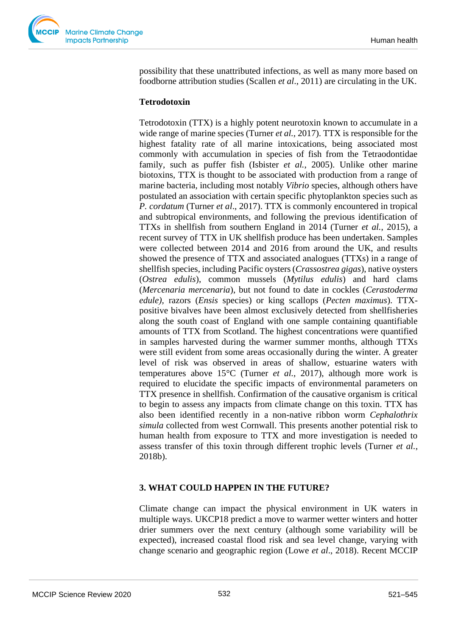possibility that these unattributed infections, as well as many more based on foodborne attribution studies (Scallen *et al*., 2011) are circulating in the UK.

## **Tetrodotoxin**

Tetrodotoxin (TTX) is a highly potent neurotoxin known to accumulate in a wide range of marine species (Turner *et al.*, 2017). TTX is responsible for the highest fatality rate of all marine intoxications, being associated most commonly with accumulation in species of fish from the Tetraodontidae family, such as puffer fish (Isbister *et al.*, 2005). Unlike other marine biotoxins, TTX is thought to be associated with production from a range of marine bacteria, including most notably *Vibrio* species, although others have postulated an association with certain specific phytoplankton species such as *P. cordatum* (Turner *et al*., 2017). TTX is commonly encountered in tropical and subtropical environments, and following the previous identification of TTXs in shellfish from southern England in 2014 (Turner *et al.*, 2015), a recent survey of TTX in UK shellfish produce has been undertaken. Samples were collected between 2014 and 2016 from around the UK, and results showed the presence of TTX and associated analogues (TTXs) in a range of shellfish species, including Pacific oysters (*Crassostrea gigas*), native oysters (*Ostrea edulis*), common mussels (*Mytilus edulis*) and hard clams (*Mercenaria mercenaria*), but not found to date in cockles (*Cerastoderma edule),* razors (*Ensis* species) or king scallops (*Pecten maximus*). TTXpositive bivalves have been almost exclusively detected from shellfisheries along the south coast of England with one sample containing quantifiable amounts of TTX from Scotland. The highest concentrations were quantified in samples harvested during the warmer summer months, although TTXs were still evident from some areas occasionally during the winter. A greater level of risk was observed in areas of shallow, estuarine waters with temperatures above 15°C (Turner *et al.*, 2017), although more work is required to elucidate the specific impacts of environmental parameters on TTX presence in shellfish. Confirmation of the causative organism is critical to begin to assess any impacts from climate change on this toxin. TTX has also been identified recently in a non-native ribbon worm *Cephalothrix simula* collected from west Cornwall. This presents another potential risk to human health from exposure to TTX and more investigation is needed to assess transfer of this toxin through different trophic levels (Turner *et al.*, 2018b).

## **3. WHAT COULD HAPPEN IN THE FUTURE?**

Climate change can impact the physical environment in UK waters in multiple ways. UKCP18 predict a move to warmer wetter winters and hotter drier summers over the next century (although some variability will be expected), increased coastal flood risk and sea level change, varying with change scenario and geographic region (Lowe *et al*., 2018). Recent MCCIP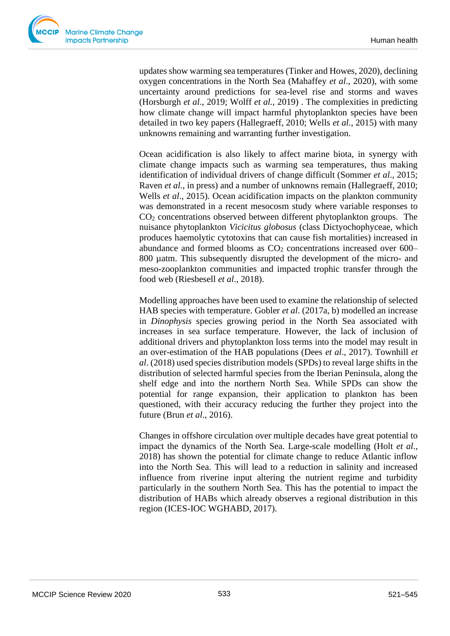updates show warming sea temperatures (Tinker and Howes, 2020), declining oxygen concentrations in the North Sea (Mahaffey *et al*., 2020), with some uncertainty around predictions for sea-level rise and storms and waves (Horsburgh *et al*., 2019; Wolff *et al.,* 2019) . The complexities in predicting how climate change will impact harmful phytoplankton species have been detailed in two key papers (Hallegraeff, 2010; Wells *et al*., 2015) with many unknowns remaining and warranting further investigation.

Ocean acidification is also likely to affect marine biota, in synergy with climate change impacts such as warming sea temperatures, thus making identification of individual drivers of change difficult (Sommer *et al*., 2015; Raven *et al.*, in press) and a number of unknowns remain (Hallegraeff, 2010; Wells *et al*., 2015). Ocean acidification impacts on the plankton community was demonstrated in a recent mesocosm study where variable responses to CO<sup>2</sup> concentrations observed between different phytoplankton groups. The nuisance phytoplankton *Vicicitus globosus* (class Dictyochophyceae, which produces haemolytic cytotoxins that can cause fish mortalities) increased in abundance and formed blooms as  $CO<sub>2</sub>$  concentrations increased over 600– 800 µatm. This subsequently disrupted the development of the micro- and meso-zooplankton communities and impacted trophic transfer through the food web (Riesbesell *et al*., 2018).

Modelling approaches have been used to examine the relationship of selected HAB species with temperature. Gobler *et al*. (2017a, b) modelled an increase in *Dinophysis* species growing period in the North Sea associated with increases in sea surface temperature. However, the lack of inclusion of additional drivers and phytoplankton loss terms into the model may result in an over-estimation of the HAB populations (Dees *et al*., 2017). Townhill *et al*. (2018) used species distribution models (SPDs) to reveal large shifts in the distribution of selected harmful species from the Iberian Peninsula, along the shelf edge and into the northern North Sea. While SPDs can show the potential for range expansion, their application to plankton has been questioned, with their accuracy reducing the further they project into the future (Brun *et al*., 2016).

Changes in offshore circulation over multiple decades have great potential to impact the dynamics of the North Sea. Large-scale modelling (Holt *et al*., 2018) has shown the potential for climate change to reduce Atlantic inflow into the North Sea. This will lead to a reduction in salinity and increased influence from riverine input altering the nutrient regime and turbidity particularly in the southern North Sea. This has the potential to impact the distribution of HABs which already observes a regional distribution in this region (ICES-IOC WGHABD, 2017).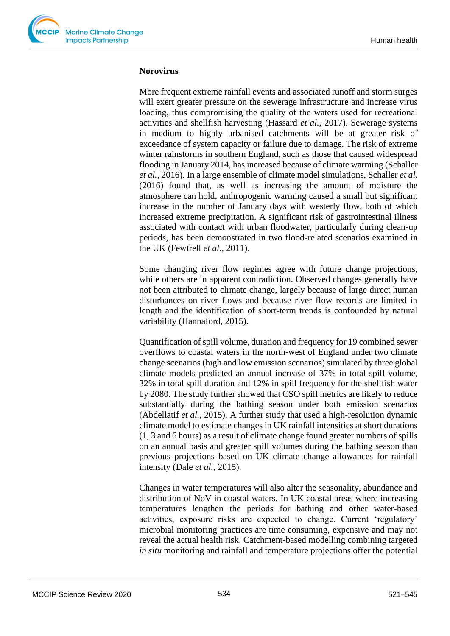#### **Norovirus**

More frequent extreme rainfall events and associated runoff and storm surges will exert greater pressure on the sewerage infrastructure and increase virus loading, thus compromising the quality of the waters used for recreational activities and shellfish harvesting (Hassard *et al.*, 2017). Sewerage systems in medium to highly urbanised catchments will be at greater risk of exceedance of system capacity or failure due to damage. The risk of extreme winter rainstorms in southern England, such as those that caused widespread flooding in January 2014, has increased because of climate warming (Schaller *et al.,* 2016). In a large ensemble of climate model simulations, Schaller *et al*. (2016) found that, as well as increasing the amount of moisture the atmosphere can hold, anthropogenic warming caused a small but significant increase in the number of January days with westerly flow, both of which increased extreme precipitation. A significant risk of gastrointestinal illness associated with contact with urban floodwater, particularly during clean-up periods, has been demonstrated in two flood-related scenarios examined in the UK (Fewtrell *et al.*, 2011).

Some changing river flow regimes agree with future change projections, while others are in apparent contradiction. Observed changes generally have not been attributed to climate change, largely because of large direct human disturbances on river flows and because river flow records are limited in length and the identification of short-term trends is confounded by natural variability (Hannaford, 2015).

Quantification of spill volume, duration and frequency for 19 combined sewer overflows to coastal waters in the north-west of England under two climate change scenarios (high and low emission scenarios) simulated by three global climate models predicted an annual increase of 37% in total spill volume, 32% in total spill duration and 12% in spill frequency for the shellfish water by 2080. The study further showed that CSO spill metrics are likely to reduce substantially during the bathing season under both emission scenarios (Abdellatif *et al.*, 2015). A further study that used a high-resolution dynamic climate model to estimate changes in UK rainfall intensities at short durations (1, 3 and 6 hours) as a result of climate change found greater numbers of spills on an annual basis and greater spill volumes during the bathing season than previous projections based on UK climate change allowances for rainfall intensity (Dale *et al.*, 2015).

Changes in water temperatures will also alter the seasonality, abundance and distribution of NoV in coastal waters. In UK coastal areas where increasing temperatures lengthen the periods for bathing and other water-based activities, exposure risks are expected to change. Current 'regulatory' microbial monitoring practices are time consuming, expensive and may not reveal the actual health risk. Catchment-based modelling combining targeted *in situ* monitoring and rainfall and temperature projections offer the potential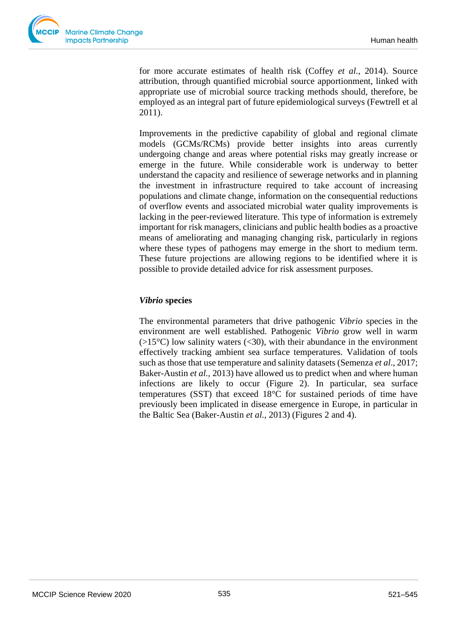

for more accurate estimates of health risk (Coffey *et al.*, 2014). Source attribution, through quantified microbial source apportionment, linked with appropriate use of microbial source tracking methods should, therefore, be employed as an integral part of future epidemiological surveys (Fewtrell et al 2011).

Improvements in the predictive capability of global and regional climate models (GCMs/RCMs) provide better insights into areas currently undergoing change and areas where potential risks may greatly increase or emerge in the future. While considerable work is underway to better understand the capacity and resilience of sewerage networks and in planning the investment in infrastructure required to take account of increasing populations and climate change, information on the consequential reductions of overflow events and associated microbial water quality improvements is lacking in the peer-reviewed literature. This type of information is extremely important for risk managers, clinicians and public health bodies as a proactive means of ameliorating and managing changing risk, particularly in regions where these types of pathogens may emerge in the short to medium term. These future projections are allowing regions to be identified where it is possible to provide detailed advice for risk assessment purposes.

## *Vibrio* **species**

The environmental parameters that drive pathogenic *Vibrio* species in the environment are well established. Pathogenic *Vibrio* grow well in warm  $(>15^{\circ}C)$  low salinity waters (<30), with their abundance in the environment effectively tracking ambient sea surface temperatures. Validation of tools such as those that use temperature and salinity datasets (Semenza *et al*., 2017; Baker-Austin *et al.,* 2013) have allowed us to predict when and where human infections are likely to occur (Figure 2). In particular, sea surface temperatures (SST) that exceed 18°C for sustained periods of time have previously been implicated in disease emergence in Europe, in particular in the Baltic Sea (Baker-Austin *et al.,* 2013) (Figures 2 and 4).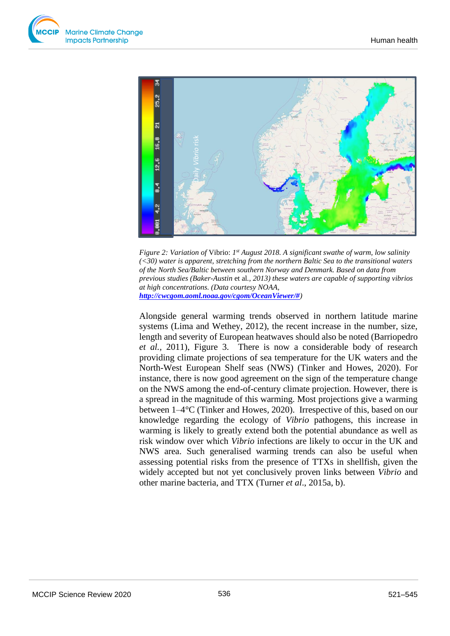



Figure 2: Variation of Vibrio: 1<sup>st</sup> August 2018. A significant swathe of warm, low salinity *(<30) water is apparent, stretching from the northern Baltic Sea to the transitional waters of the North Sea/Baltic between southern Norway and Denmark. Based on data from previous studies (Baker-Austin* et al*., 2013) these waters are capable of supporting vibrios at high concentrations. (Data courtesy NOAA, [http://cwcgom.aoml.noaa.gov/cgom/OceanViewer/#](http://cwcgom.aoml.noaa.gov/cgom/OceanViewer/))*

Alongside general warming trends observed in northern latitude marine systems (Lima and Wethey, 2012), the recent increase in the number, size, length and severity of European heatwaves should also be noted (Barriopedro *et al.,* 2011), Figure 3. There is now a considerable body of research providing climate projections of sea temperature for the UK waters and the North-West European Shelf seas (NWS) (Tinker and Howes, 2020). For instance, there is now good agreement on the sign of the temperature change on the NWS among the end-of-century climate projection. However, there is a spread in the magnitude of this warming. Most projections give a warming between 1–4°C (Tinker and Howes*,* 2020). Irrespective of this, based on our knowledge regarding the ecology of *Vibrio* pathogens, this increase in warming is likely to greatly extend both the potential abundance as well as risk window over which *Vibrio* infections are likely to occur in the UK and NWS area. Such generalised warming trends can also be useful when assessing potential risks from the presence of TTXs in shellfish, given the widely accepted but not yet conclusively proven links between *Vibrio* and **Example 12**<br> **Example 2:** Variation of Vibrio: 1<sup>*n*</sup> August 2018. A significant swathe ((<30) water is apparent, stretching from the northern Baltic Sea to to the North Sea Anditic between southern Norway and Demmark. Ba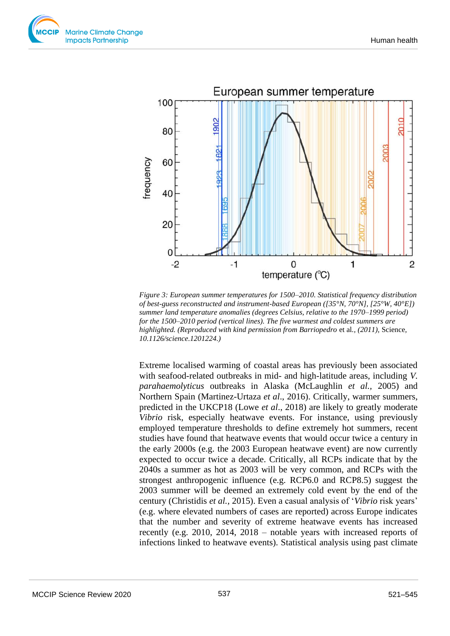



*Figure 3: European summer temperatures for 1500–2010. Statistical frequency distribution of best-guess reconstructed and instrument-based European ([35°N, 70°N], [25°W, 40°E]) summer land temperature anomalies (degrees Celsius, relative to the 1970–1999 period) for the 1500–2010 period (vertical lines). The five warmest and coldest summers are highlighted. (Reproduced with kind permission from Barriopedro* et al*., (2011),* Science*, 10.1126/science.1201224.)*

Extreme localised warming of coastal areas has previously been associated with seafood-related outbreaks in mid- and high-latitude areas, including *V. parahaemolyticus* outbreaks in Alaska (McLaughlin *et al.,* 2005) and Northern Spain (Martinez-Urtaza *et al*., 2016). Critically, warmer summers, predicted in the UKCP18 (Lowe *et al*., 2018) are likely to greatly moderate *Vibrio* risk, especially heatwave events. For instance, using previously employed temperature thresholds to define extremely hot summers, recent studies have found that heatwave events that would occur twice a century in the early 2000s (e.g. the 2003 European heatwave event) are now currently expected to occur twice a decade. Critically, all RCPs indicate that by the 2040s a summer as hot as 2003 will be very common, and RCPs with the strongest anthropogenic influence (e.g. RCP6.0 and RCP8.5) suggest the 2003 summer will be deemed an extremely cold event by the end of the century (Christidis *et al.,* 2015). Even a casual analysis of '*Vibrio* risk years' (e.g. where elevated numbers of cases are reported) across Europe indicates that the number and severity of extreme heatwave events has increased recently (e.g. 2010, 2014, 2018 – notable years with increased reports of infections linked to heatwave events). Statistical analysis using past climate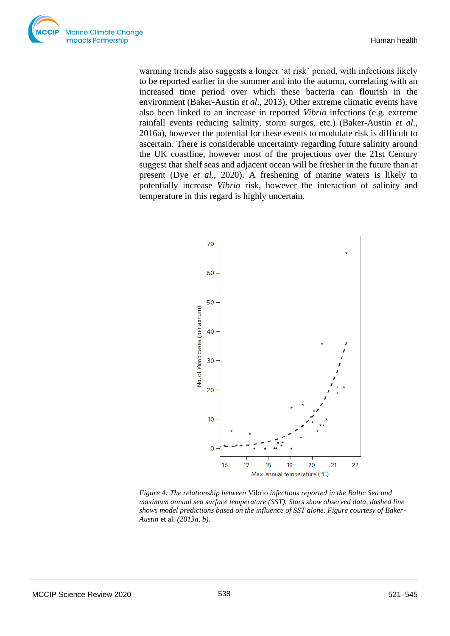warming trends also suggests a longer 'at risk' period, with infections likely to be reported earlier in the summer and into the autumn, correlating with an increased time period over which these bacteria can flourish in the environment (Baker-Austin *et al*., 2013). Other extreme climatic events have also been linked to an increase in reported *Vibrio* infections (e.g. extreme rainfall events reducing salinity, storm surges, etc.) (Baker-Austin *et al*., 2016a), however the potential for these events to modulate risk is difficult to ascertain. There is considerable uncertainty regarding future salinity around the UK coastline, however most of the projections over the 21st Century suggest that shelf seas and adjacent ocean will be fresher in the future than at present (Dye *et al*., 2020). A freshening of marine waters is likely to potentially increase *Vibrio* risk, however the interaction of salinity and temperature in this regard is highly uncertain.



*Figure 4: The relationship between* Vibrio *infections reported in the Baltic Sea and maximum annual sea surface temperature (SST). Stars show observed data, dashed line shows model predictions based on the influence of SST alone. Figure courtesy of Baker-Austin* et al*. (2013a, b).*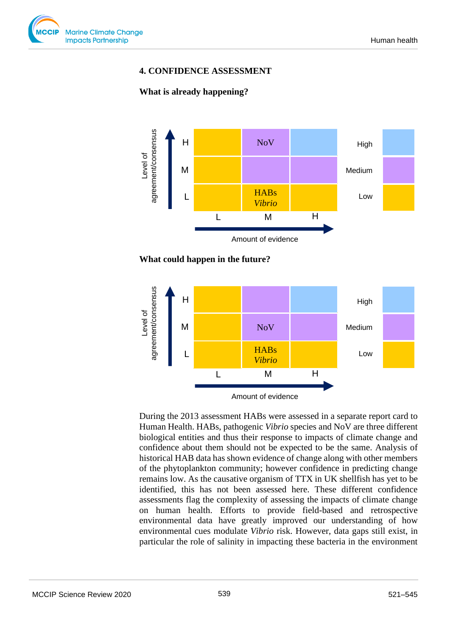

## **4. CONFIDENCE ASSESSMENT**

#### **What is already happening?**



#### **What could happen in the future?**



During the 2013 assessment HABs were assessed in a separate report card to Human Health. HABs, pathogenic *Vibrio* species and NoV are three different biological entities and thus their response to impacts of climate change and confidence about them should not be expected to be the same. Analysis of historical HAB data has shown evidence of change along with other members of the phytoplankton community; however confidence in predicting change remains low. As the causative organism of TTX in UK shellfish has yet to be identified, this has not been assessed here. These different confidence assessments flag the complexity of assessing the impacts of climate change on human health. Efforts to provide field-based and retrospective environmental data have greatly improved our understanding of how environmental cues modulate *Vibrio* risk. However, data gaps still exist, in particular the role of salinity in impacting these bacteria in the environment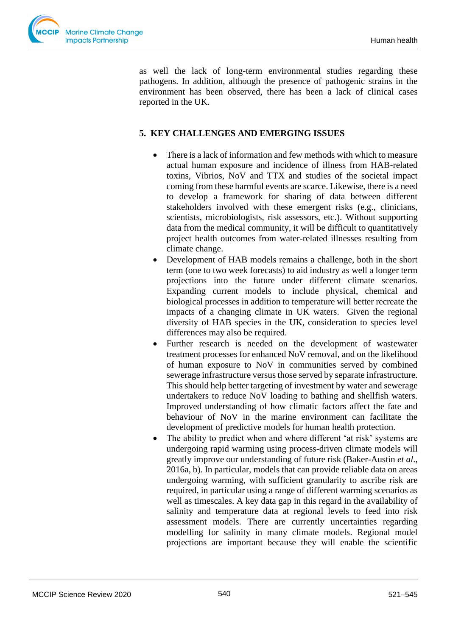

as well the lack of long-term environmental studies regarding these pathogens. In addition, although the presence of pathogenic strains in the environment has been observed, there has been a lack of clinical cases reported in the UK.

# **5. KEY CHALLENGES AND EMERGING ISSUES**

- There is a lack of information and few methods with which to measure actual human exposure and incidence of illness from HAB-related toxins, Vibrios, NoV and TTX and studies of the societal impact coming from these harmful events are scarce. Likewise, there is a need to develop a framework for sharing of data between different stakeholders involved with these emergent risks (e.g., clinicians, scientists, microbiologists, risk assessors, etc.). Without supporting data from the medical community, it will be difficult to quantitatively project health outcomes from water-related illnesses resulting from climate change.
- Development of HAB models remains a challenge, both in the short term (one to two week forecasts) to aid industry as well a longer term projections into the future under different climate scenarios. Expanding current models to include physical, chemical and biological processes in addition to temperature will better recreate the impacts of a changing climate in UK waters. Given the regional diversity of HAB species in the UK, consideration to species level differences may also be required.
- Further research is needed on the development of wastewater treatment processes for enhanced NoV removal, and on the likelihood of human exposure to NoV in communities served by combined sewerage infrastructure versus those served by separate infrastructure. This should help better targeting of investment by water and sewerage undertakers to reduce NoV loading to bathing and shellfish waters. Improved understanding of how climatic factors affect the fate and behaviour of NoV in the marine environment can facilitate the development of predictive models for human health protection.
- The ability to predict when and where different 'at risk' systems are undergoing rapid warming using process-driven climate models will greatly improve our understanding of future risk (Baker-Austin *et al*., 2016a, b). In particular, models that can provide reliable data on areas undergoing warming, with sufficient granularity to ascribe risk are required, in particular using a range of different warming scenarios as well as timescales. A key data gap in this regard in the availability of salinity and temperature data at regional levels to feed into risk assessment models. There are currently uncertainties regarding modelling for salinity in many climate models. Regional model projections are important because they will enable the scientific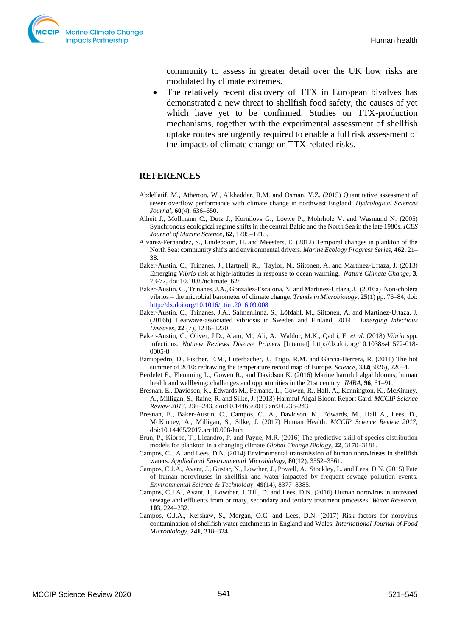

community to assess in greater detail over the UK how risks are modulated by climate extremes.

• The relatively recent discovery of TTX in European bivalves has demonstrated a new threat to shellfish food safety, the causes of yet which have yet to be confirmed. Studies on TTX-production mechanisms, together with the experimental assessment of shellfish uptake routes are urgently required to enable a full risk assessment of the impacts of climate change on TTX-related risks.

#### **REFERENCES**

- Abdellatif, M., Atherton, W., Alkhaddar, R.M. and Osman, Y.Z. (2015) Quantitative assessment of sewer overflow performance with climate change in northwest England. *Hydrological Sciences Journal,* **60**(4), 636–650.
- Alheit J., Mollmann C., Dutz J., Kornilovs G., Loewe P., Mohrholz V. and Wasmund N. (2005) Synchronous ecological regime shifts in the central Baltic and the North Sea in the late 1980s. *ICES Journal of Marine Science*, **62**, 1205–1215.
- Alvarez-Fernandez, S., Lindeboom, H. and Meesters, E. (2012) Temporal changes in plankton of the North Sea: community shifts and environmental drivers. *Marine Ecology Progress Series*, **462**, 21– 38.
- Baker-Austin, C., Trinanes, J., Hartnell, R., Taylor, N., Siitonen, A. and Martinez-Urtaza, J. (2013) Emerging *Vibrio* risk at high-latitudes in response to ocean warming. *Nature Climate Change*, **3**, 73-77, doi:10.1038/nclimate1628
- Baker-Austin, C., Trinanes, J.A., Gonzalez-Escalona, N. and Martinez-Urtaza, J. (2016a) Non-cholera vibrios – the microbial barometer of climate change. *Trends in Microbiology*, **25**(1) pp. 76–84, doi: <http://dx.doi.org/10.1016/j.tim.2016.09.008>
- Baker-Austin, C., Trinanes, J.A., Salmenlinna, S., Löfdahl, M., Siitonen, A. and Martinez-Urtaza, J. (2016b) Heatwave-associated vibriosis in Sweden and Finland, 2014. *Emerging Infectious Diseases*, **22** (7), 1216–1220.
- Baker-Austin, C., Oliver, J.D., Alam, M., Ali, A., Waldor, M.K., Qadri, F. *et al*. (2018) *Vibrio* spp. infections. *Natuew Reviews Disease Primers* [Internet] http://dx.doi.org/10.1038/s41572-018- 0005-8
- Barriopedro, D., Fischer, E.M., Luterbacher, J., Trigo, R.M. and Garcia-Herrera, R. (2011) The hot summer of 2010: redrawing the temperature record map of Europe*. Science*, **332**(6026), 220–4.
- Berdelet E., Flemming L., Gowen R., and Davidson K. (2016) Marine harmful algal blooms, human health and wellbeing: challenges and opportunities in the 21st century. *JMBA*, **96**, 61–91.
- Bresnan, E., Davidson, K., Edwards M., Fernand, L., Gowen, R., Hall, A., Kennington, K., McKinney, A., Milligan, S., Raine, R. and Silke, J. (2013) Harmful Algal Bloom Report Card. *MCCIP Science Review 2013*, 236–243, doi:10.14465/2013.arc24.236-243
- Bresnan, E., Baker-Austin, C., Campos, C.J.A., Davidson, K., Edwards, M., Hall A., Lees, D., McKinney, A., Milligan, S., Silke, J. (2017) Human Health. *MCCIP Science Review 2017*, doi:10.14465/2017.arc10.008-huh
- Brun, P., Kiorbe, T., Licandro, P. and Payne, M.R. (2016) The predictive skill of species distribution models for plankton in a changing climate *Global Change Biology*, **22**, 3170–3181.
- Campos, C.J.A. and Lees, D.N. (2014) Environmental transmission of human noroviruses in shellfish waters. *Applied and Environmental Microbiology,* **80**(12), 3552–3561.
- Campos, C.J.A., Avant, J., Gustar, N., Lowther, J., Powell, A., Stockley, L. and Lees, D.N. (2015) Fate of human noroviruses in shellfish and water impacted by frequent sewage pollution events. *Environmental Science & Technology,* **49**(14), 8377–8385.
- Campos, C.J.A., Avant, J., Lowther, J. Till, D. and Lees, D.N. (2016) Human norovirus in untreated sewage and effluents from primary, secondary and tertiary treatment processes. *Water Research,* **103**, 224–232.
- Campos, C.J.A., Kershaw, S., Morgan, O.C. and Lees, D.N. (2017) Risk factors for norovirus contamination of shellfish water catchments in England and Wales. *International Journal of Food Microbiology,* **241**, 318–324.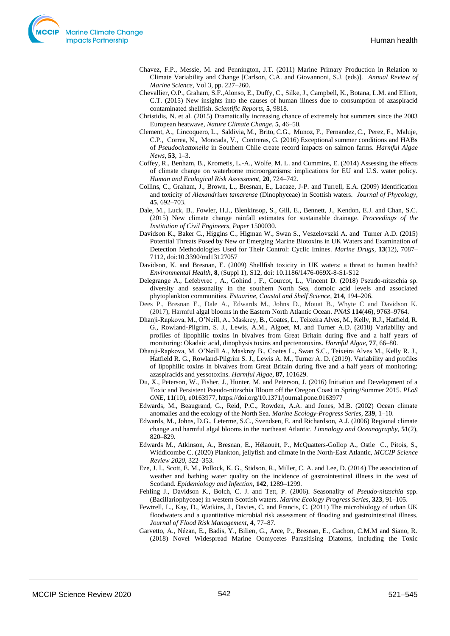- Chavez, F.P., Messie, M. and Pennington, J.T. (2011) Marine Primary Production in Relation to Climate Variability and Change [Carlson, C.A. and Giovannoni, S.J. (eds)]. *Annual Review of Marine Science*, Vol 3, pp. 227–260.
- Chevallier, O.P., Graham, S.F.,Alonso, E., Duffy, C., Silke, J., Campbell, K., Botana, L.M. and Elliott, C.T. (2015) New insights into the causes of human illness due to consumption of azaspiracid contaminated shellfish. *Scientific Reports*, **5**, 9818.
- Christidis, N. et al. (2015) Dramatically increasing chance of extremely hot summers since the 2003 European heatwave, *Nature Climate Change*, **5**, 46–50.
- Clement, A., Lincoquero, L., Saldivia, M., Brito, C.G., Munoz, F., Fernandez, C., Perez, F., Maluje, C.P., Correa, N., Moncada, V., Contreras, G. (2016) Exceptional summer conditions and HABs of *Pseudochattonella* in Southern Chile create record impacts on salmon farms. *Harmful Algae News*, **53**, 1–3.
- Coffey, R., Benham, B., Krometis, L.-A., Wolfe, M. L. and Cummins, E. (2014) Assessing the effects of climate change on waterborne microorganisms: implications for EU and U.S. water policy. *Human and Ecological Risk Assessment,* **20**, 724–742.
- Collins, C., Graham, J., Brown, L., Bresnan, E., Lacaze, J-P. and Turrell, E.A. (2009) Identification and toxicity of *Alexandrium tamarense* (Dinophyceae) in Scottish waters. *Journal of Phycology*, **45**, 692–703.
- Dale, M., Luck, B., Fowler, H.J., Blenkinsop, S., Gill, E., Bennett, J., Kendon, E.J. and Chan, S.C. (2015) New climate change rainfall estimates for sustainable drainage. *Proceedings of the Institution of Civil Engineers, Paper* 1500030.
- Davidson K., Baker C., Higgins C., Higman W., Swan S., Veszelovszki A. and Turner A.D. (2015) Potential Threats Posed by New or Emerging Marine Biotoxins in UK Waters and Examination of Detection Methodologies Used for Their Control: Cyclic Imines. *Marine Drugs*, **13**(12), 7087– 7112, doi:10.3390/md13127057
- Davidson, K. and Bresnan, E. (2009) Shellfish toxicity in UK waters: a threat to human health? *Environmental Health,* **8**, (Suppl 1), S12, doi: 10.1186/1476-069X-8-S1-S12
- Delegrange A., Lefebvrec , A., Gohind , F., Courcot, L., Vincent D. (2018) Pseudo-nitzschia sp. diversity and seasonality in the southern North Sea, domoic acid levels and associated phytoplankton communities. *Estuarine, Coastal and Shelf Science*, **214**, 194–206.
- Dees P., Bresnan E., Dale A., Edwards M., Johns D., Mouat B., Whyte C and Davidson K. (2017), Harmful algal blooms in the Eastern North Atlantic Ocean. *PNAS* **114**(46), 9763–9764.
- Dhanji-Rapkova, M., O'Neill, A., Maskrey, B., Coates, L., Teixeira Alves, M., Kelly, R.J., Hatfield, R. G., Rowland-Pilgrim, S. J., Lewis, A.M., Algoet, M. and Turner A.D. (2018) Variability and profiles of lipophilic toxins in bivalves from Great Britain during five and a half years of monitoring: Okadaic acid, dinophysis toxins and pectenotoxins. *Harmful Algae*, **77**, 66–80.
- Dhanji-Rapkova, M. O'Neill A., Maskrey B., Coates L., Swan S.C., Teixeira Alves M., Kelly R. J., Hatfield R. G., Rowland-Pilgrim S. J., Lewis A. M., Turner A. D. (2019). Variability and profiles of lipophilic toxins in bivalves from Great Britain during five and a half years of monitoring: azaspiracids and yessotoxins. *Harmful Algae,* **87**, 101629.
- Du, X., Peterson, W., Fisher, J., Hunter, M. and Peterson, J. (2016) Initiation and Development of a Toxic and Persistent Pseudo-nitzschia Bloom off the Oregon Coast in Spring/Summer 2015. *PLoS ONE,* **11**(10), e0163977, https://doi.org/10.1371/journal.pone.0163977
- Edwards, M., Beaugrand, G., Reid, P.C., Rowden, A.A. and Jones, M.B. (2002) Ocean climate anomalies and the ecology of the North Sea. *Marine Ecology-Progress Series,* **239**, 1–10.
- Edwards, M., Johns, D.G., Leterme, S.C., Svendsen, E. and Richardson, A.J. (2006) Regional climate change and harmful algal blooms in the northeast Atlantic. *Limnology and Oceanography*, **51**(2), 820–829.
- Edwards M., Atkinson, A., Bresnan, E., Hélaouët, P., McQuatters-Gollop A., Ostle C., Pitois, S., Widdicombe C. (2020) Plankton, jellyfish and climate in the North-East Atlantic, *MCCIP Science Review 2020*, 322–353.
- Eze, J. I., Scott, E. M., Pollock, K. G., Stidson, R., Miller, C. A. and Lee, D. (2014) The association of weather and bathing water quality on the incidence of gastrointestinal illness in the west of Scotland. *Epidemiology and Infection,* **142**, 1289–1299.
- Fehling J., Davidson K., Bolch, C. J. and Tett, P. (2006). Seasonality of *Pseudo-nitzschia* spp. (Bacillariophyceae) in western Scottish waters. *Marine Ecology Progress Series*, **323**, 91–105.
- Fewtrell, L., Kay, D., Watkins, J., Davies, C. and Francis, C. (2011) The microbiology of urban UK floodwaters and a quantitative microbial risk assessment of flooding and gastrointestinal illness. *Journal of Flood Risk Management,* **4**, 77–87.
- Garvetto, A., Nézan, E., Badis, Y., Bilien, G., Arce, P., Bresnan, E., Gachon, C.M.M and Siano, R. (2018) Novel Widespread Marine Oomycetes Parasitising Diatoms, Including the Toxic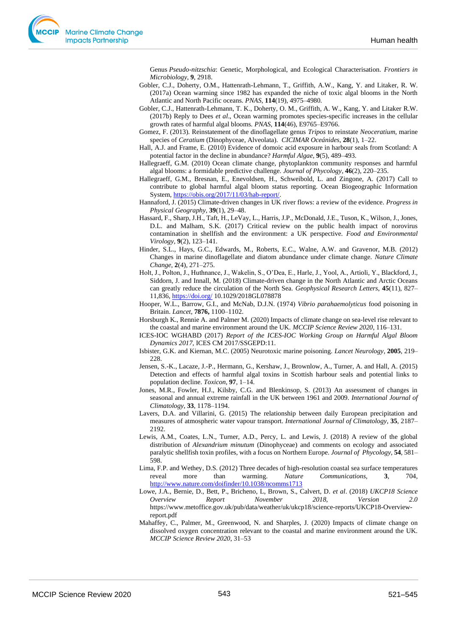Genus *Pseudo-nitzschia*: Genetic, Morphological, and Ecological Characterisation. *Frontiers in Microbiology*, **9**, 2918.

- Gobler, C.J., Doherty, O.M., Hattenrath-Lehmann, T., Griffith, A.W., Kang, Y. and Litaker, R. W. (2017a) Ocean warming since 1982 has expanded the niche of toxic algal blooms in the North Atlantic and North Pacific oceans. *PNAS*, **114**(19), 4975–4980.
- Gobler, C.J., Hattenrath-Lehmann, T. K., Doherty, O. M., Griffith, A. W., Kang, Y. and Litaker R.W. (2017b) Reply to Dees *et al*., Ocean warming promotes species-specific increases in the cellular growth rates of harmful algal blooms. *PNAS*, **114**(46), E9765–E9766.
- Gomez, F. (2013). Reinstatement of the dinoflagellate genus *Tripos* to reinstate *Neoceratium*, marine species of *Ceratium* (Dinophyceae, Alveolata). *CICIMAR Oceánides*, **28**(1), 1–22.
- Hall, A.J. and Frame, E. (2010) Evidence of domoic acid exposure in harbour seals from Scotland: A potential factor in the decline in abundance? *Harmful Algae*, **9**(5), 489–493.
- Hallegraeff, G.M. (2010) Ocean climate change, phytoplankton community responses and harmful algal blooms: a formidable predictive challenge. *Journal of Phycology*, **46**(2), 220–235.
- Hallegraeff, G.M., Bresnan, E., Enevoldsen, H., Schweibold, L. and Zingone, A. (2017) Call to contribute to global harmful algal bloom status reporting. Ocean Biogeographic Information System[, https://obis.org/2017/11/03/hab-report/.](https://obis.org/2017/11/03/hab-report/)
- Hannaford, J. (2015) Climate-driven changes in UK river flows: a review of the evidence. *Progress in Physical Geography,* **39**(1), 29–48.
- Hassard, F., Sharp, J.H., Taft, H., LeVay, L., Harris, J.P., McDonald, J.E., Tuson, K., Wilson, J., Jones, D.L. and Malham, S.K. (2017) Critical review on the public health impact of norovirus contamination in shellfish and the environment: a UK perspective. *Food and Environmental Virology*, **9**(2), 123–141.
- Hinder, S.L., Hays, G.C., Edwards, M., Roberts, E.C., Walne, A.W. and Gravenor, M.B. (2012) Changes in marine dinoflagellate and diatom abundance under climate change. *Nature Climate Change*, **2**(4), 271–275.
- Holt, J., Polton, J., Huthnance, J., Wakelin, S., O'Dea, E., Harle, J., Yool, A., Artioli, Y., Blackford, J., Siddorn, J. and Innall, M. (2018) Climate-driven change in the North Atlantic and Arctic Oceans can greatly reduce the circulation of the North Sea. *Geophysical Research Letters*, **45**(11), 827– 11,836,<https://doi.org/> 10.1029/2018GL078878
- Hooper, W.L., Barrow, G.I., and McNab, D.J.N. (1974) *Vibrio parahaemolyticus* food poisoning in Britain. *Lancet,* **7876,** 1100–1102.
- Horsburgh K., Rennie A. and Palmer M. (2020) Impacts of climate change on sea-level rise relevant to the coastal and marine environment around the UK. *MCCIP Science Review 2020*, 116–131.
- ICES-IOC WGHABD (2017) *Report of the ICES-IOC Working Group on Harmful Algal Bloom Dynamics 2017*, ICES CM 2017/SSGEPD:11.
- Isbister, G.K. and Kiernan, M.C. (2005) Neurotoxic marine poisoning. *Lancet Neurology*, **2005**, 219– 228.
- Jensen, S.-K., Lacaze, J.-P., Hermann, G., Kershaw, J., Brownlow, A., Turner, A. and Hall, A. (2015) Detection and effects of harmful algal toxins in Scottish harbour seals and potential links to population decline. *Toxicon*, **97**, 1–14.
- Jones, M.R., Fowler, H.J., Kilsby, C.G. and Blenkinsop, S. (2013) An assessment of changes in seasonal and annual extreme rainfall in the UK between 1961 and 2009. *International Journal of Climatology*, **33**, 1178–1194.
- Lavers, D.A. and Villarini, G. (2015) The relationship between daily European precipitation and measures of atmospheric water vapour transport. *International Journal of Climatology*, **35**, 2187– 2192.
- Lewis, A.M., Coates, L.N., Turner, A.D., Percy, L. and Lewis, J. (2018) A review of the global distribution of *Alexandrium minutum* (Dinophyceae) and comments on ecology and associated paralytic shellfish toxin profiles, with a focus on Northern Europe. *Journal of Phycology*, **54**, 581– 598.
- Lima, F.P. and Wethey, D.S. (2012) Three decades of high-resolution coastal sea surface temperatures reveal more than warming. *Nature Communications,* **3**, 704, <http://www.nature.com/doifinder/10.1038/ncomms1713>
- Lowe, J.A., Bernie, D., Bett, P., Bricheno, L, Brown, S., Calvert, D. *et al*. (2018) *UKCP18 Science Overview Report November 2018, Version 2.0* [https://www.metoffice.gov.uk/pub/data/weather/uk/ukcp18/science-reports/UKCP18-Overview](https://www.metoffice.gov.uk/pub/data/weather/uk/ukcp18/science-reports/UKCP18-Overview-report.pdf)[report.pdf](https://www.metoffice.gov.uk/pub/data/weather/uk/ukcp18/science-reports/UKCP18-Overview-report.pdf)
- Mahaffey, C., Palmer, M., Greenwood, N. and Sharples, J. (2020) Impacts of climate change on dissolved oxygen concentration relevant to the coastal and marine environment around the UK. *MCCIP Science Review 2020*, 31–53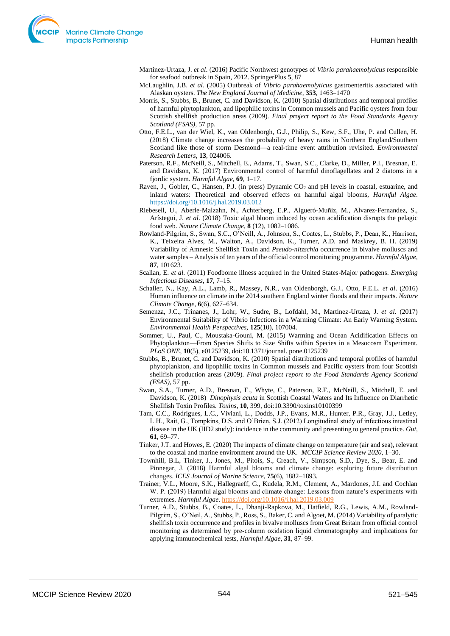Martinez-Urtaza, J. *et al*. (2016) Pacific Northwest genotypes of *Vibrio parahaemolyticus* responsible for seafood outbreak in Spain, 2012. SpringerPlus **5**, 87

- McLaughlin, J.B. *et al*. (2005) Outbreak of *Vibrio parahaemolyticus* gastroenteritis associated with Alaskan oysters. *The New England Journal of Medicine*, **353**, 1463–1470
- Morris, S., Stubbs, B., Brunet, C. and Davidson, K. (2010) Spatial distributions and temporal profiles of harmful phytoplankton, and lipophilic toxins in Common mussels and Pacific oysters from four Scottish shellfish production areas (2009). *Final project report to the Food Standards Agency Scotland (FSAS)*, 57 pp.
- Otto, F.E.L., van der Wiel, K., van Oldenborgh, G.J., Philip, S., Kew, S.F., Uhe, P. and Cullen, H. (2018) Climate change increases the probability of heavy rains in Northern England/Southern Scotland like those of storm Desmond—a real-time event attribution revisited. *Environmental Research Letters*, **13**, 024006.
- Paterson, R.F., McNeill, S., Mitchell, E., Adams, T., Swan, S.C., Clarke, D., Miller, P.I., Bresnan, E. and Davidson, K. (2017) Environmental control of harmful dinoflagellates and 2 diatoms in a fjordic system. *Harmful Algae*, **69**, 1–17.
- Raven, J., Gobler, C., Hansen, P.J. (in press) Dynamic CO<sub>2</sub> and pH levels in coastal, estuarine, and inland waters: Theoretical and observed effects on harmful algal blooms, *Harmful Algae*. <https://doi.org/10.1016/j.hal.2019.03.012>
- Riebesell, U., Aberle-Malzahn, N., Achterberg, E.P., Algueró-Muñiz, M., Alvarez-Fernandez, S., Arístegui, J. *et al*. (2018) Toxic algal bloom induced by ocean acidification disrupts the pelagic food web. *Nature Climate Change*, **8** (12), 1082–1086.
- Rowland-Pilgrim, S., Swan, S.C., O'Neill, A., Johnson, S., Coates, L., Stubbs, P., Dean, K., Harrison, K., Teixeira Alves, M., Walton, A., Davidson, K., Turner, A.D. and Maskrey, B. H. (2019) Variability of Amnesic Shellfish Toxin and *Pseudo-nitzschia* occurrence in bivalve molluscs and water samples – Analysis of ten years of the official control monitoring programme. *Harmful Algae*, **87**, 101623.
- Scallan, E. *et al.* (2011) Foodborne illness acquired in the United States-Major pathogens. *Emerging Infectious Diseases*, **17**, 7–15.
- Schaller, N., Kay, A.L., Lamb, R., Massey, N.R., van Oldenborgh, G.J., Otto, F.E.L. *et al*. (2016) Human influence on climate in the 2014 southern England winter floods and their impacts. *Nature Climate Change*, **6**(6), 627–634.
- Semenza, J.C., Trinanes, J., Lohr, W., Sudre, B., Lofdahl, M., Martinez-Urtaza, J. *et al*. (2017) Environmental Suitability of Vibrio Infections in a Warming Climate: An Early Warning System. *Environmental Health Perspectives,* **125**(10), 107004.
- Sommer, U., Paul, C., Moustaka-Gouni, M. (2015) Warming and Ocean Acidification Effects on Phytoplankton—From Species Shifts to Size Shifts within Species in a Mesocosm Experiment. *PLoS ONE*, **10**(5), e0125239, doi:10.1371/journal. pone.0125239
- Stubbs, B., Brunet, C. and Davidson, K. (2010) Spatial distributions and temporal profiles of harmful phytoplankton, and lipophilic toxins in Common mussels and Pacific oysters from four Scottish shellfish production areas (2009). *Final project report to the Food Standards Agency Scotland (FSAS)*, 57 pp.
- Swan, S.A., Turner, A.D., Bresnan, E., Whyte, C., Paterson, R.F., McNeill, S., Mitchell, E. and Davidson, K. (2018) *Dinophysis acuta* in Scottish Coastal Waters and Its Influence on Diarrhetic Shellfish Toxin Profiles. *Toxins*, **10**, 399, doi:10.3390/toxins10100399
- Tam, C.C., Rodrigues, L.C., Viviani, L., Dodds, J.P., Evans, M.R., Hunter, P.R., Gray, J.J., Letley, L.H., Rait, G., Tompkins, D.S. and O'Brien, S.J. (2012) Longitudinal study of infectious intestinal disease in the UK (IID2 study): incidence in the community and presenting to general practice. *Gut,* **61**, 69–77.
- Tinker, J.T. and Howes, E. (2020) The impacts of climate change on temperature (air and sea), relevant to the coastal and marine environment around the UK. *MCCIP Science Review 2020,* 1–30.
- Townhill, B.L, Tinker, J., Jones, M., Pitois, S., Creach, V., Simpson, S.D., Dye, S., Bear, E. and Pinnegar, J. (2018) Harmful algal blooms and climate change: exploring future distribution changes. *ICES Journal of Marine Science*, **75**(6), 1882–1893.
- Trainer, V.L., Moore, S.K., Hallegraeff, G., Kudela, R.M., Clement, A., Mardones, J.I. and Cochlan W. P. (2019) Harmful algal blooms and climate change: Lessons from nature's experiments with extremes. *Harmful Algae*[. https://doi.org/10.1016/j.hal.2019.03.009](https://doi.org/10.1016/j.hal.2019.03.009)
- Turner, A.D., Stubbs, B., Coates, L., Dhanji-Rapkova, M., Hatfield, R.G., Lewis, A.M., Rowland-Pilgrim, S., O'Neil, A., Stubbs, P., Ross, S., Baker, C. and Algoet, M. (2014) Variability of paralytic shellfish toxin occurrence and profiles in bivalve molluscs from Great Britain from official control monitoring as determined by pre-column oxidation liquid chromatography and implications for applying immunochemical tests, *Harmful Algae*, **31**, 87–99.